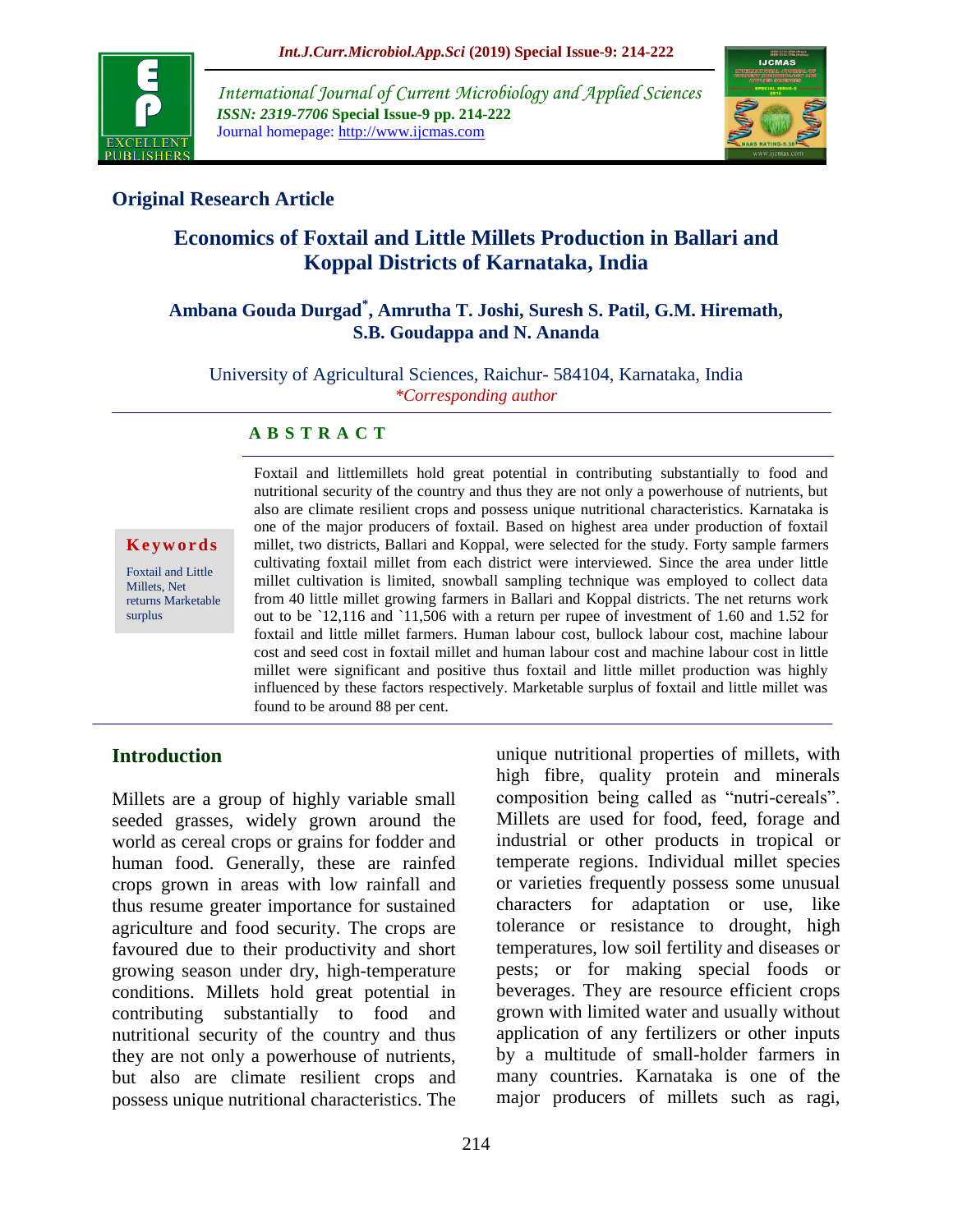

*International Journal of Current Microbiology and Applied Sciences ISSN: 2319-7706* **Special Issue-9 pp. 214-222** Journal homepage: http://www.ijcmas.com



# **Original Research Article**

# **Economics of Foxtail and Little Millets Production in Ballari and Koppal Districts of Karnataka, India**

## **Ambana Gouda Durgad\* , Amrutha T. Joshi, Suresh S. Patil, G.M. Hiremath, S.B. Goudappa and N. Ananda**

University of Agricultural Sciences, Raichur- 584104, Karnataka, India *\*Corresponding author*

#### **A B S T R A C T**

**K e yw o r d s**

Foxtail and Little Millets, Net returns Marketable surplus

Foxtail and littlemillets hold great potential in contributing substantially to food and nutritional security of the country and thus they are not only a powerhouse of nutrients, but also are climate resilient crops and possess unique nutritional characteristics. Karnataka is one of the major producers of foxtail. Based on highest area under production of foxtail millet, two districts, Ballari and Koppal, were selected for the study. Forty sample farmers cultivating foxtail millet from each district were interviewed. Since the area under little millet cultivation is limited, snowball sampling technique was employed to collect data from 40 little millet growing farmers in Ballari and Koppal districts. The net returns work out to be `12,116 and `11,506 with a return per rupee of investment of 1.60 and 1.52 for foxtail and little millet farmers. Human labour cost, bullock labour cost, machine labour cost and seed cost in foxtail millet and human labour cost and machine labour cost in little millet were significant and positive thus foxtail and little millet production was highly influenced by these factors respectively. Marketable surplus of foxtail and little millet was found to be around 88 per cent.

#### **Introduction**

Millets are a group of highly variable small seeded grasses, widely grown around the world as cereal crops or grains for fodder and human food. Generally, these are rainfed crops grown in areas with low rainfall and thus resume greater importance for sustained agriculture and food security. The crops are favoured due to their productivity and short growing season under dry, high-temperature conditions. Millets hold great potential in contributing substantially to food and nutritional security of the country and thus they are not only a powerhouse of nutrients, but also are climate resilient crops and possess unique nutritional characteristics. The

unique nutritional properties of millets, with high fibre, quality protein and minerals composition being called as "nutri-cereals". Millets are used for food, feed, forage and industrial or other products in tropical or temperate regions. Individual millet species or varieties frequently possess some unusual characters for adaptation or use, like tolerance or resistance to drought, high temperatures, low soil fertility and diseases or pests; or for making special foods or beverages. They are resource efficient crops grown with limited water and usually without application of any fertilizers or other inputs by a multitude of small-holder farmers in many countries. Karnataka is one of the major producers of millets such as ragi,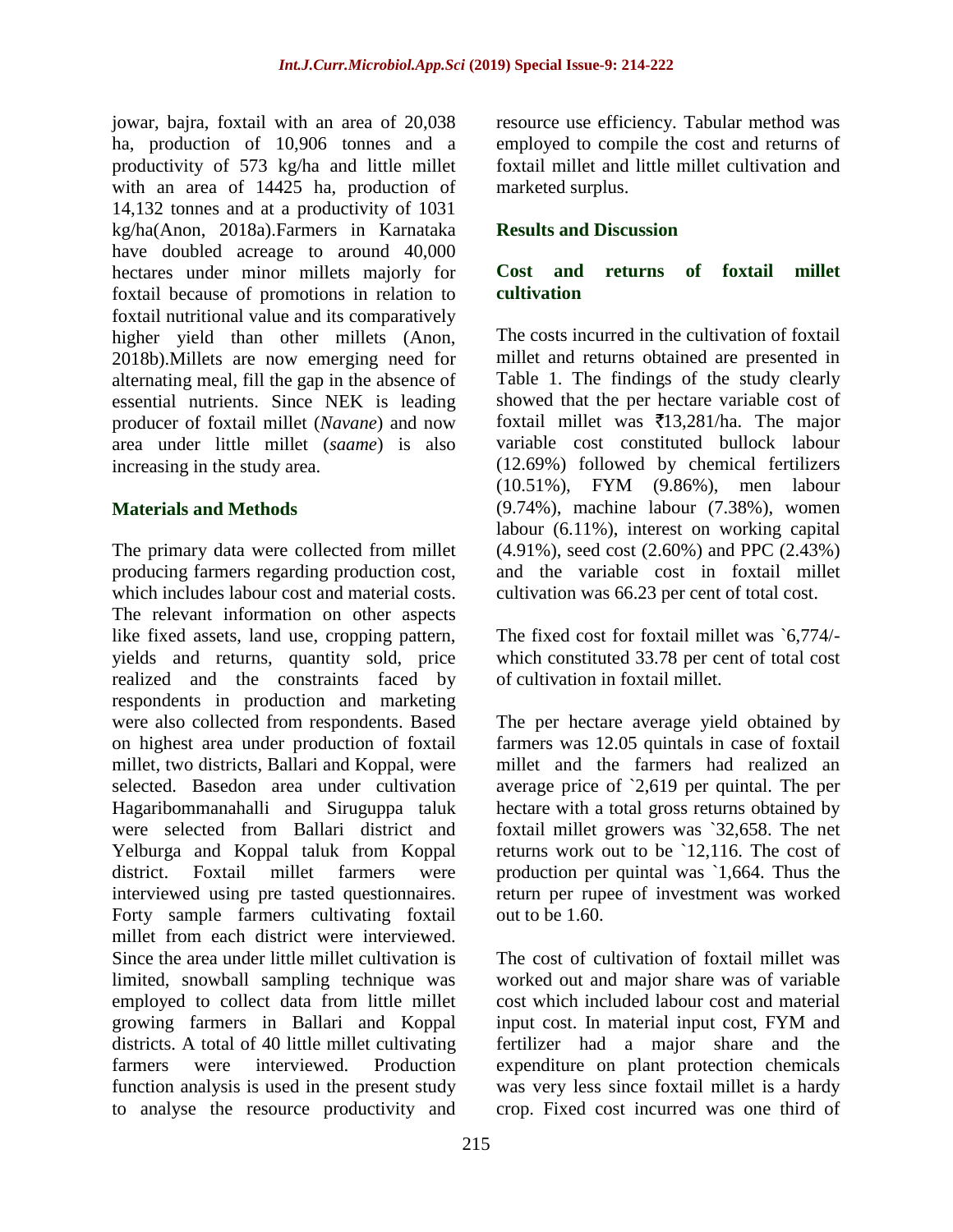jowar, bajra, foxtail with an area of 20,038 ha, production of 10,906 tonnes and a productivity of 573 kg/ha and little millet with an area of 14425 ha, production of 14,132 tonnes and at a productivity of 1031 kg/ha(Anon, 2018a).Farmers in Karnataka have doubled acreage to around 40,000 hectares under minor millets majorly for foxtail because of promotions in relation to foxtail nutritional value and its comparatively higher yield than other millets (Anon. 2018b).Millets are now emerging need for alternating meal, fill the gap in the absence of essential nutrients. Since NEK is leading producer of foxtail millet (*Navane*) and now area under little millet (*saame*) is also increasing in the study area.

#### **Materials and Methods**

The primary data were collected from millet producing farmers regarding production cost, which includes labour cost and material costs. The relevant information on other aspects like fixed assets, land use, cropping pattern, yields and returns, quantity sold, price realized and the constraints faced by respondents in production and marketing were also collected from respondents. Based on highest area under production of foxtail millet, two districts, Ballari and Koppal, were selected. Basedon area under cultivation Hagaribommanahalli and Siruguppa taluk were selected from Ballari district and Yelburga and Koppal taluk from Koppal district. Foxtail millet farmers were interviewed using pre tasted questionnaires. Forty sample farmers cultivating foxtail millet from each district were interviewed. Since the area under little millet cultivation is limited, snowball sampling technique was employed to collect data from little millet growing farmers in Ballari and Koppal districts. A total of 40 little millet cultivating farmers were interviewed. Production function analysis is used in the present study to analyse the resource productivity and

resource use efficiency. Tabular method was employed to compile the cost and returns of foxtail millet and little millet cultivation and marketed surplus.

### **Results and Discussion**

#### **Cost and returns of foxtail millet cultivation**

The costs incurred in the cultivation of foxtail millet and returns obtained are presented in Table 1. The findings of the study clearly showed that the per hectare variable cost of foxtail millet was  $\bar{x}$ 13,281/ha. The major variable cost constituted bullock labour (12.69%) followed by chemical fertilizers (10.51%), FYM (9.86%), men labour (9.74%), machine labour (7.38%), women labour (6.11%), interest on working capital (4.91%), seed cost (2.60%) and PPC (2.43%) and the variable cost in foxtail millet cultivation was 66.23 per cent of total cost.

The fixed cost for foxtail millet was `6,774/ which constituted 33.78 per cent of total cost of cultivation in foxtail millet.

The per hectare average yield obtained by farmers was 12.05 quintals in case of foxtail millet and the farmers had realized an average price of `2,619 per quintal. The per hectare with a total gross returns obtained by foxtail millet growers was `32,658. The net returns work out to be `12,116. The cost of production per quintal was `1,664. Thus the return per rupee of investment was worked out to be 1.60.

The cost of cultivation of foxtail millet was worked out and major share was of variable cost which included labour cost and material input cost. In material input cost, FYM and fertilizer had a major share and the expenditure on plant protection chemicals was very less since foxtail millet is a hardy crop. Fixed cost incurred was one third of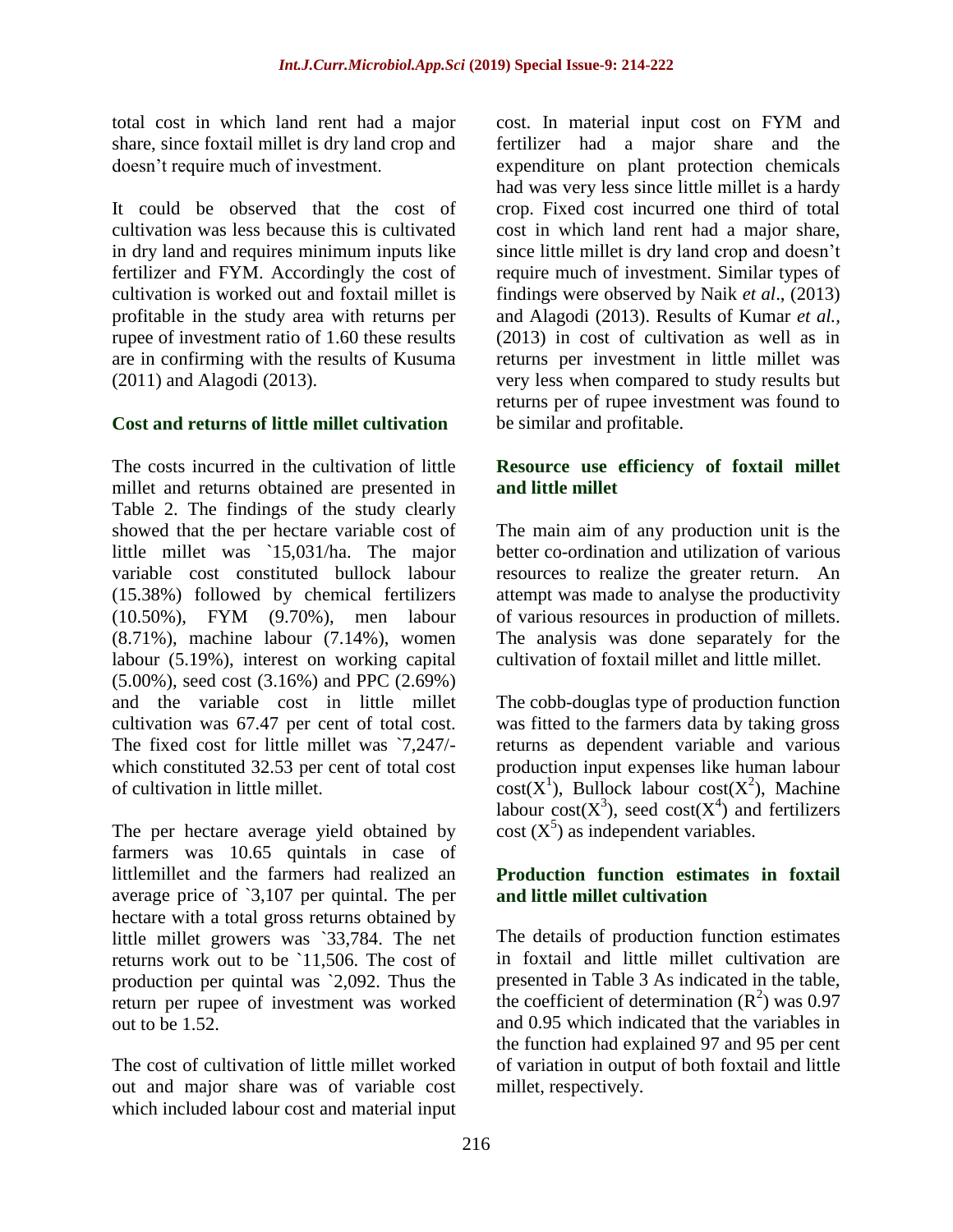total cost in which land rent had a major share, since foxtail millet is dry land crop and doesn't require much of investment.

It could be observed that the cost of cultivation was less because this is cultivated in dry land and requires minimum inputs like fertilizer and FYM. Accordingly the cost of cultivation is worked out and foxtail millet is profitable in the study area with returns per rupee of investment ratio of 1.60 these results are in confirming with the results of Kusuma (2011) and Alagodi (2013).

#### **Cost and returns of little millet cultivation**

The costs incurred in the cultivation of little millet and returns obtained are presented in Table 2. The findings of the study clearly showed that the per hectare variable cost of little millet was `15,031/ha. The major variable cost constituted bullock labour (15.38%) followed by chemical fertilizers (10.50%), FYM (9.70%), men labour (8.71%), machine labour (7.14%), women labour (5.19%), interest on working capital (5.00%), seed cost (3.16%) and PPC (2.69%) and the variable cost in little millet cultivation was 67.47 per cent of total cost. The fixed cost for little millet was `7,247/ which constituted 32.53 per cent of total cost of cultivation in little millet.

The per hectare average yield obtained by farmers was 10.65 quintals in case of littlemillet and the farmers had realized an average price of `3,107 per quintal. The per hectare with a total gross returns obtained by little millet growers was `33,784. The net returns work out to be `11,506. The cost of production per quintal was `2,092. Thus the return per rupee of investment was worked out to be 1.52.

The cost of cultivation of little millet worked out and major share was of variable cost which included labour cost and material input cost. In material input cost on FYM and fertilizer had a major share and the expenditure on plant protection chemicals had was very less since little millet is a hardy crop. Fixed cost incurred one third of total cost in which land rent had a major share, since little millet is dry land crop and doesn't require much of investment. Similar types of findings were observed by Naik *et al*., (2013) and Alagodi (2013). Results of Kumar *et al.,* (2013) in cost of cultivation as well as in returns per investment in little millet was very less when compared to study results but returns per of rupee investment was found to be similar and profitable.

### **Resource use efficiency of foxtail millet and little millet**

The main aim of any production unit is the better co-ordination and utilization of various resources to realize the greater return. An attempt was made to analyse the productivity of various resources in production of millets. The analysis was done separately for the cultivation of foxtail millet and little millet.

The cobb-douglas type of production function was fitted to the farmers data by taking gross returns as dependent variable and various production input expenses like human labour  $cost(X^1)$ , Bullock labour cost( $X^2$ ), Machine labour cost( $X^3$ ), seed cost( $X^4$ ) and fertilizers cost  $(X^5)$  as independent variables.

#### **Production function estimates in foxtail and little millet cultivation**

The details of production function estimates in foxtail and little millet cultivation are presented in Table 3 As indicated in the table, the coefficient of determination  $(R^2)$  was 0.97 and 0.95 which indicated that the variables in the function had explained 97 and 95 per cent of variation in output of both foxtail and little millet, respectively.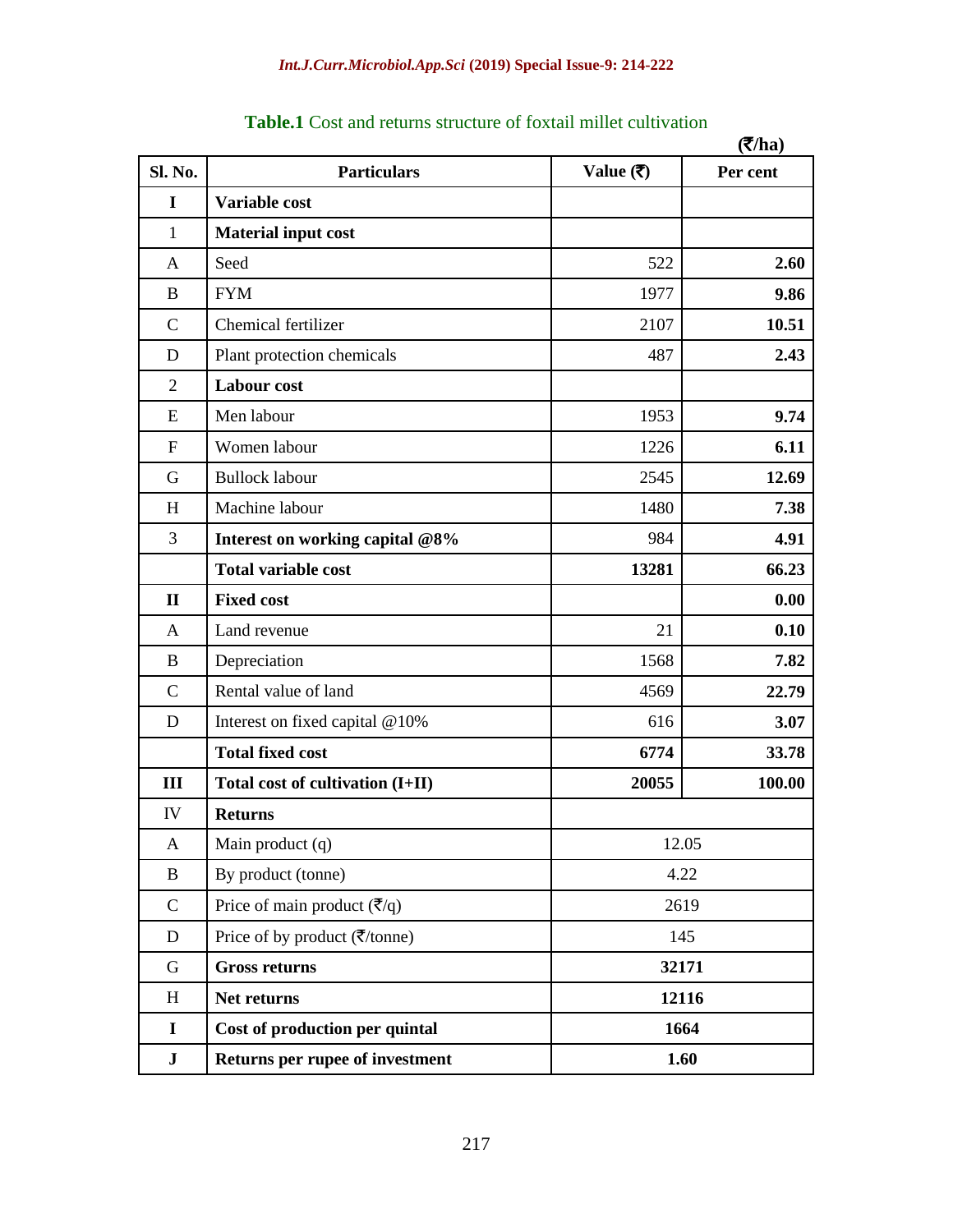|                |                                                                       |                                 | $(2)$ ha) |  |
|----------------|-----------------------------------------------------------------------|---------------------------------|-----------|--|
| Sl. No.        | <b>Particulars</b>                                                    | Value $(\overline{\mathbf{z}})$ | Per cent  |  |
| I              | Variable cost                                                         |                                 |           |  |
| $\mathbf{1}$   | <b>Material input cost</b>                                            |                                 |           |  |
| A              | Seed                                                                  | 522                             | 2.60      |  |
| B              | <b>FYM</b>                                                            | 1977                            | 9.86      |  |
| $\mathbf C$    | Chemical fertilizer                                                   | 2107                            | 10.51     |  |
| D              | Plant protection chemicals                                            | 487                             | 2.43      |  |
| $\overline{2}$ | Labour cost                                                           |                                 |           |  |
| E              | Men labour                                                            | 1953                            | 9.74      |  |
| $\mathbf F$    | Women labour                                                          | 1226                            | 6.11      |  |
| G              | <b>Bullock labour</b>                                                 | 2545                            | 12.69     |  |
| H              | Machine labour                                                        | 1480                            | 7.38      |  |
| 3              | Interest on working capital @8%                                       | 984                             | 4.91      |  |
|                | <b>Total variable cost</b>                                            | 13281                           | 66.23     |  |
| $\mathbf{I}$   | <b>Fixed cost</b>                                                     |                                 | 0.00      |  |
| A              | Land revenue                                                          | 21                              | 0.10      |  |
| B              | Depreciation                                                          | 1568                            | 7.82      |  |
| $\mathbf C$    | Rental value of land                                                  | 4569                            | 22.79     |  |
| D              | Interest on fixed capital @10%                                        | 616                             | 3.07      |  |
|                | <b>Total fixed cost</b>                                               | 6774                            | 33.78     |  |
| III            | Total cost of cultivation (I+II)                                      | 20055                           | 100.00    |  |
| IV             | <b>Returns</b>                                                        |                                 |           |  |
| $\mathbf{A}$   | Main product (q)                                                      | 12.05                           |           |  |
| B              | By product (tonne)                                                    | 4.22                            |           |  |
| $\mathbf C$    | Price of main product $(\overline{\zeta}/q)$                          | 2619                            |           |  |
| $\mathbf D$    | Price of by product $(\overline{\mathbf{\overline{z}}}/\text{tonne})$ | 145                             |           |  |
| G              | <b>Gross returns</b>                                                  | 32171                           |           |  |
| H              | Net returns                                                           | 12116                           |           |  |
| $\mathbf I$    | Cost of production per quintal                                        | 1664                            |           |  |
| ${\bf J}$      | Returns per rupee of investment                                       | 1.60                            |           |  |

## **Table.1** Cost and returns structure of foxtail millet cultivation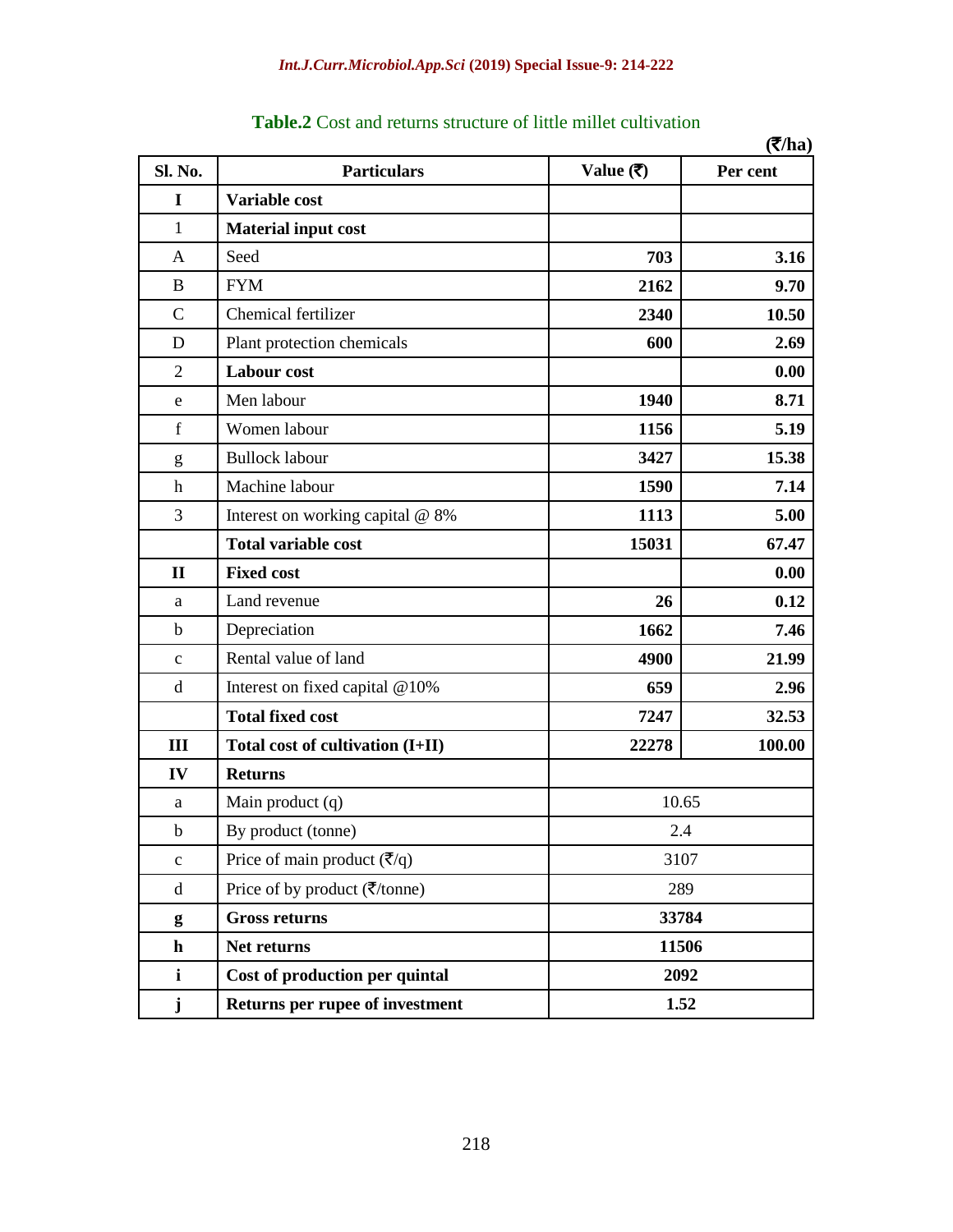|                |                                                       |                                 | (7/ha)   |
|----------------|-------------------------------------------------------|---------------------------------|----------|
| Sl. No.        | <b>Particulars</b>                                    | Value $(\overline{\mathbf{z}})$ | Per cent |
| I              | Variable cost                                         |                                 |          |
| $\mathbf{1}$   | <b>Material input cost</b>                            |                                 |          |
| A              | Seed                                                  | 703                             | 3.16     |
| B              | <b>FYM</b>                                            | 2162                            | 9.70     |
| $\mathbf C$    | Chemical fertilizer                                   | 2340                            | 10.50    |
| D              | Plant protection chemicals                            | 600                             | 2.69     |
| $\overline{2}$ | Labour cost                                           |                                 | 0.00     |
| e              | Men labour                                            | 1940                            | 8.71     |
| $\mathbf f$    | Women labour                                          | 1156                            | 5.19     |
| g              | <b>Bullock labour</b>                                 | 3427                            | 15.38    |
| $\mathbf h$    | Machine labour                                        | 1590                            | 7.14     |
| 3              | Interest on working capital @ 8%                      | 1113                            | 5.00     |
|                | <b>Total variable cost</b>                            | 15031                           | 67.47    |
| $\mathbf{I}$   | <b>Fixed cost</b>                                     |                                 | 0.00     |
| a              | Land revenue                                          | 26                              | 0.12     |
| $\mathbf b$    | Depreciation                                          | 1662                            | 7.46     |
| $\mathbf c$    | Rental value of land                                  | 4900                            | 21.99    |
| d              | Interest on fixed capital @10%                        | 659                             | 2.96     |
|                | <b>Total fixed cost</b>                               | 7247                            | 32.53    |
| Ш              | Total cost of cultivation (I+II)                      | 22278                           | 100.00   |
| IV             | <b>Returns</b>                                        |                                 |          |
| a              | Main product (q)                                      | 10.65                           |          |
| $\mathbf b$    | By product (tonne)                                    | $2.4\,$                         |          |
| $\mathbf{C}$   | Price of main product $(\overline{\zeta}/q)$          | 3107                            |          |
| $\mathbf d$    | Price of by product $(\overline{\zeta}/\text{tonne})$ | 289                             |          |
| g              | <b>Gross returns</b>                                  | 33784                           |          |
| $\mathbf h$    | Net returns                                           | 11506                           |          |
| $\mathbf{i}$   | Cost of production per quintal                        | 2092                            |          |
| ${\bf j}$      | Returns per rupee of investment                       | 1.52                            |          |

| <b>Table.2</b> Cost and returns structure of little millet cultivation |  |  |  |  |  |
|------------------------------------------------------------------------|--|--|--|--|--|
|------------------------------------------------------------------------|--|--|--|--|--|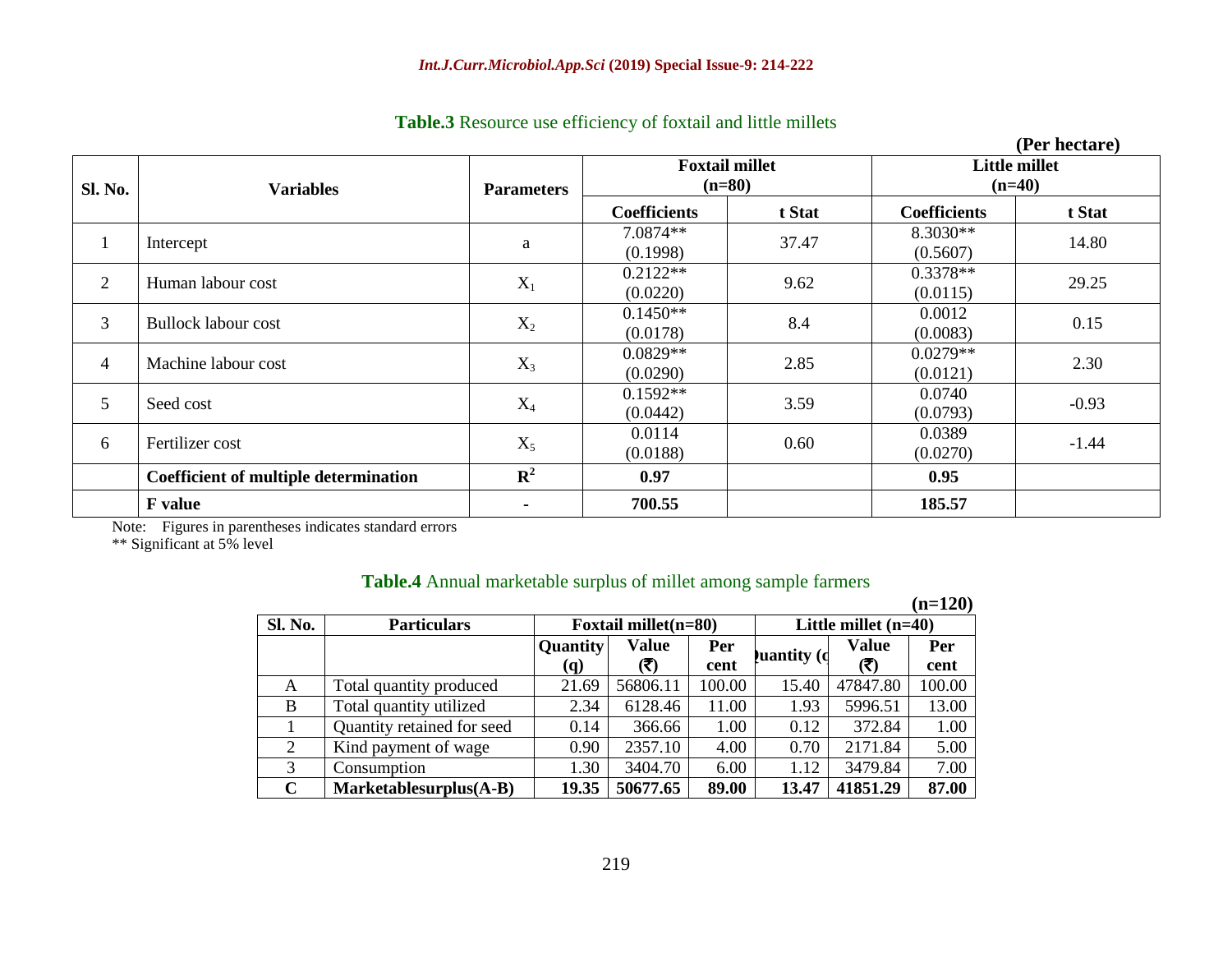| Table.3 Resource use efficiency of foxtail and little millets |  |  |  |
|---------------------------------------------------------------|--|--|--|
|---------------------------------------------------------------|--|--|--|

|                |                                       |                   |                                   |        |                           | (Per hectare) |  |
|----------------|---------------------------------------|-------------------|-----------------------------------|--------|---------------------------|---------------|--|
| <b>Sl. No.</b> | <b>Variables</b>                      | <b>Parameters</b> | <b>Foxtail millet</b><br>$(n=80)$ |        | Little millet<br>$(n=40)$ |               |  |
|                |                                       |                   | <b>Coefficients</b>               | t Stat | <b>Coefficients</b>       | t Stat        |  |
| $\mathbf{1}$   | Intercept                             | a                 | 7.0874**<br>(0.1998)              | 37.47  | 8.3030**<br>(0.5607)      | 14.80         |  |
| 2              | Human labour cost                     | $X_1$             | $0.2122**$<br>(0.0220)            | 9.62   | $0.3378**$<br>(0.0115)    | 29.25         |  |
| $\overline{3}$ | <b>Bullock labour cost</b>            | $X_2$             | $0.1450**$<br>(0.0178)            | 8.4    | 0.0012<br>(0.0083)        | 0.15          |  |
| $\overline{4}$ | Machine labour cost                   | $X_3$             | $0.0829**$<br>(0.0290)            | 2.85   | $0.0279**$<br>(0.0121)    | 2.30          |  |
| 5              | Seed cost                             | $X_4$             | $0.1592**$<br>(0.0442)            | 3.59   | 0.0740<br>(0.0793)        | $-0.93$       |  |
| 6              | Fertilizer cost                       | $X_5$             | 0.0114<br>(0.0188)                | 0.60   | 0.0389<br>(0.0270)        | $-1.44$       |  |
|                | Coefficient of multiple determination | $\mathbf{R}^2$    | 0.97                              |        | 0.95                      |               |  |
|                | <b>F</b> value                        |                   | 700.55                            |        | 185.57                    |               |  |

Note: Figures in parentheses indicates standard errors

\*\* Significant at 5% level

|  |  | Table.4 Annual marketable surplus of millet among sample farmers |  |  |  |  |
|--|--|------------------------------------------------------------------|--|--|--|--|
|  |  |                                                                  |  |  |  |  |

|             |                            |                                                |          |            |                    |          | $(n=120)$ |
|-------------|----------------------------|------------------------------------------------|----------|------------|--------------------|----------|-----------|
| Sl. No.     | <b>Particulars</b>         | Foxtail millet(n=80)<br>Little millet $(n=40)$ |          |            |                    |          |           |
|             |                            | Quantity                                       | Value    | <b>Per</b> | <b>Juantity</b> (d | Value    | Per       |
|             |                            | (q)                                            | (3)      | cent       |                    | (₹)      | cent      |
| A           | Total quantity produced    | 21.69                                          | 56806.11 | 100.00     | 15.40              | 47847.80 | 100.00    |
| B           | Total quantity utilized    | 2.34                                           | 6128.46  | 11.00      | 1.93               | 5996.51  | 13.00     |
|             | Quantity retained for seed | 0.14                                           | 366.66   | 1.00       | 0.12               | 372.84   | 1.00      |
| 2           | Kind payment of wage       | 0.90                                           | 2357.10  | 4.00       | 0.70               | 2171.84  | 5.00      |
| 3           | Consumption                | 1.30                                           | 3404.70  | 6.00       | 1.12               | 3479.84  | 7.00      |
| $\mathbf C$ | Marketablesurplus(A-B)     | 19.35                                          | 50677.65 | 89.00      | 13.47              | 41851.29 | 87.00     |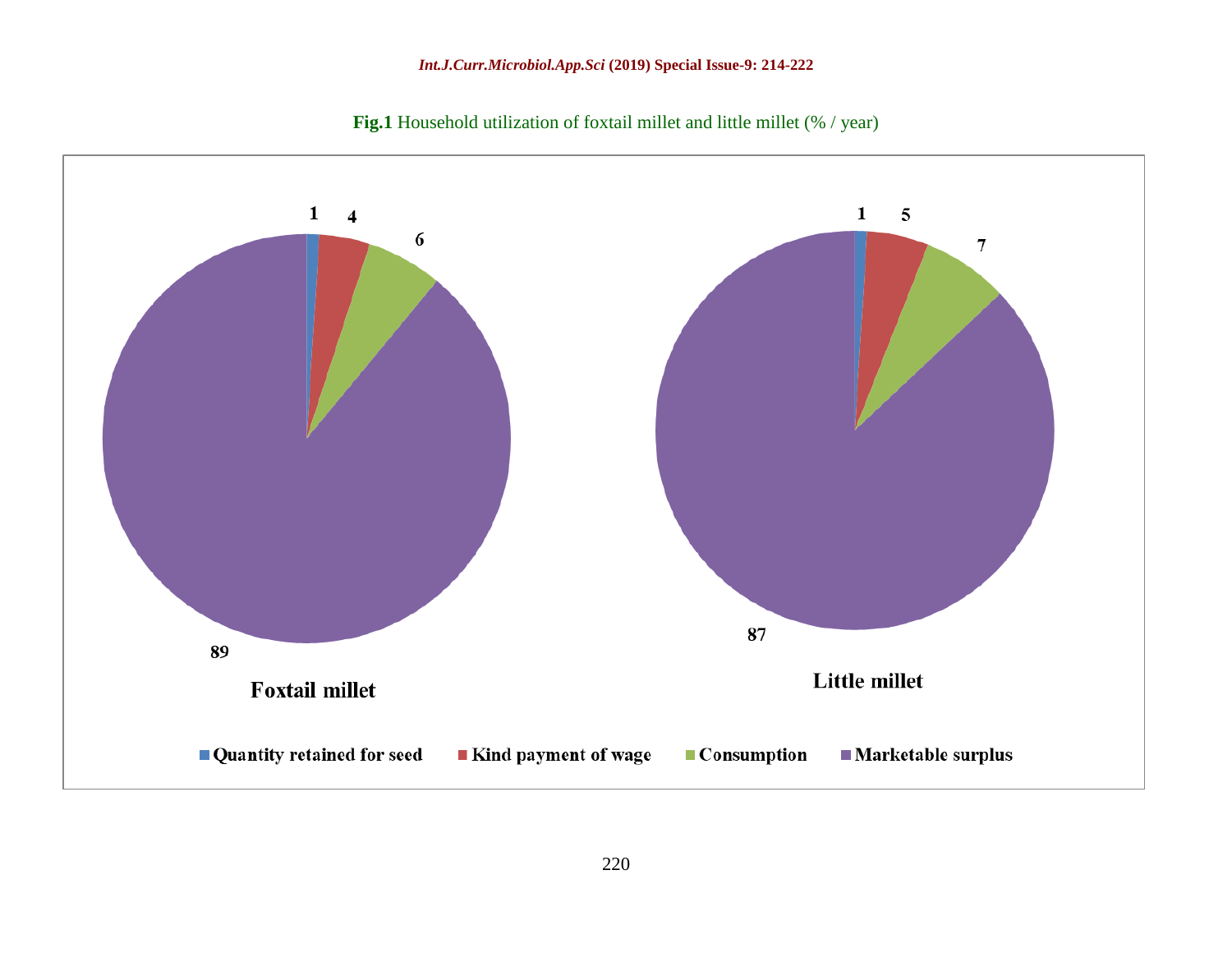

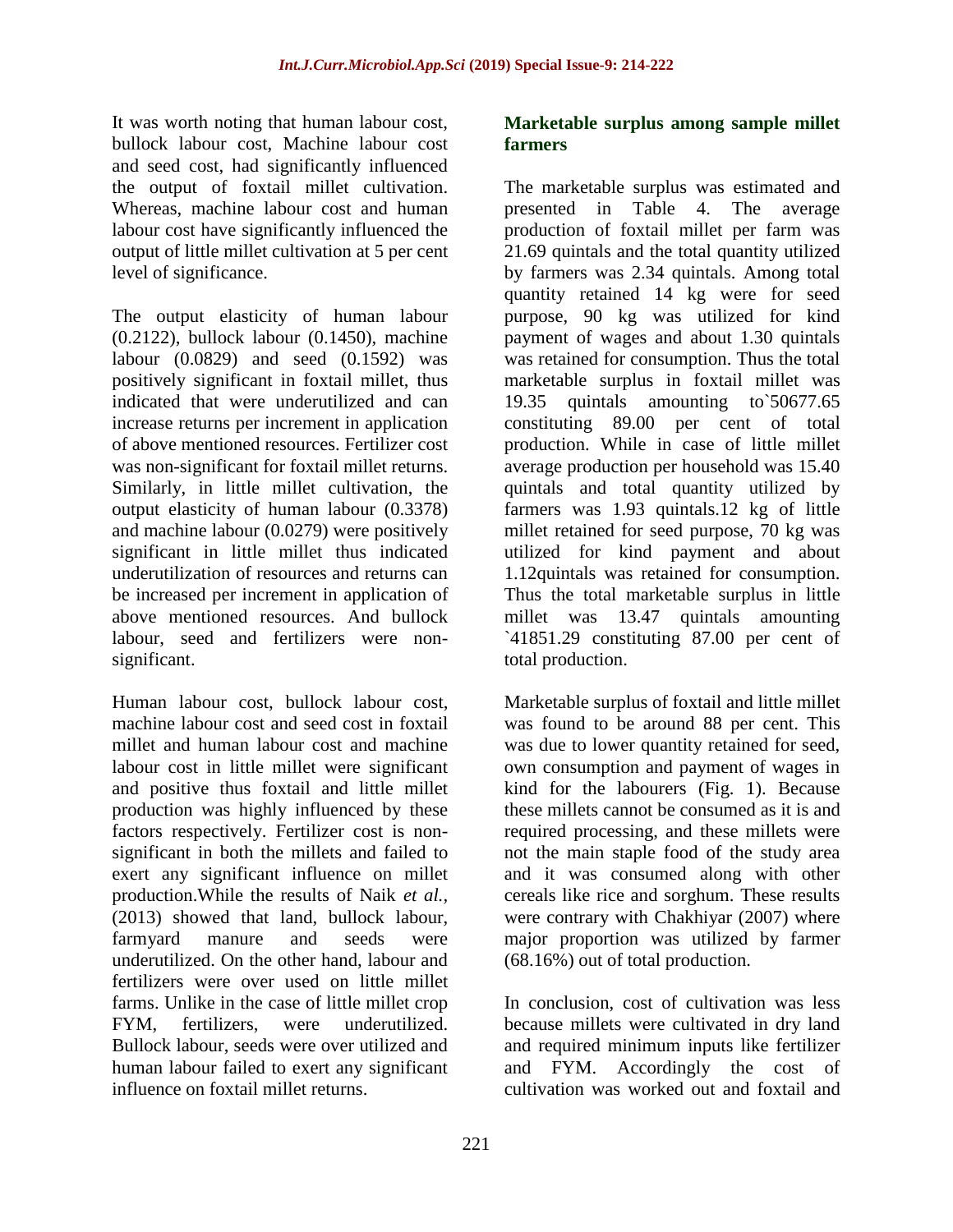It was worth noting that human labour cost, bullock labour cost, Machine labour cost and seed cost, had significantly influenced the output of foxtail millet cultivation. Whereas, machine labour cost and human labour cost have significantly influenced the output of little millet cultivation at 5 per cent level of significance.

The output elasticity of human labour (0.2122), bullock labour (0.1450), machine labour (0.0829) and seed (0.1592) was positively significant in foxtail millet, thus indicated that were underutilized and can increase returns per increment in application of above mentioned resources. Fertilizer cost was non-significant for foxtail millet returns. Similarly, in little millet cultivation, the output elasticity of human labour (0.3378) and machine labour (0.0279) were positively significant in little millet thus indicated underutilization of resources and returns can be increased per increment in application of above mentioned resources. And bullock labour, seed and fertilizers were nonsignificant.

Human labour cost, bullock labour cost, machine labour cost and seed cost in foxtail millet and human labour cost and machine labour cost in little millet were significant and positive thus foxtail and little millet production was highly influenced by these factors respectively. Fertilizer cost is nonsignificant in both the millets and failed to exert any significant influence on millet production.While the results of Naik *et al.,* (2013) showed that land, bullock labour, farmyard manure and seeds were underutilized. On the other hand, labour and fertilizers were over used on little millet farms. Unlike in the case of little millet crop FYM, fertilizers, were underutilized. Bullock labour, seeds were over utilized and human labour failed to exert any significant influence on foxtail millet returns.

## **Marketable surplus among sample millet farmers**

The marketable surplus was estimated and presented in Table 4. The average production of foxtail millet per farm was 21.69 quintals and the total quantity utilized by farmers was 2.34 quintals. Among total quantity retained 14 kg were for seed purpose, 90 kg was utilized for kind payment of wages and about 1.30 quintals was retained for consumption. Thus the total marketable surplus in foxtail millet was 19.35 quintals amounting to`50677.65 constituting 89.00 per cent of total production. While in case of little millet average production per household was 15.40 quintals and total quantity utilized by farmers was 1.93 quintals.12 kg of little millet retained for seed purpose, 70 kg was utilized for kind payment and about 1.12quintals was retained for consumption. Thus the total marketable surplus in little millet was 13.47 quintals amounting `41851.29 constituting 87.00 per cent of total production.

Marketable surplus of foxtail and little millet was found to be around 88 per cent. This was due to lower quantity retained for seed, own consumption and payment of wages in kind for the labourers (Fig. 1). Because these millets cannot be consumed as it is and required processing, and these millets were not the main staple food of the study area and it was consumed along with other cereals like rice and sorghum. These results were contrary with Chakhiyar (2007) where major proportion was utilized by farmer (68.16%) out of total production.

In conclusion, cost of cultivation was less because millets were cultivated in dry land and required minimum inputs like fertilizer and FYM. Accordingly the cost of cultivation was worked out and foxtail and